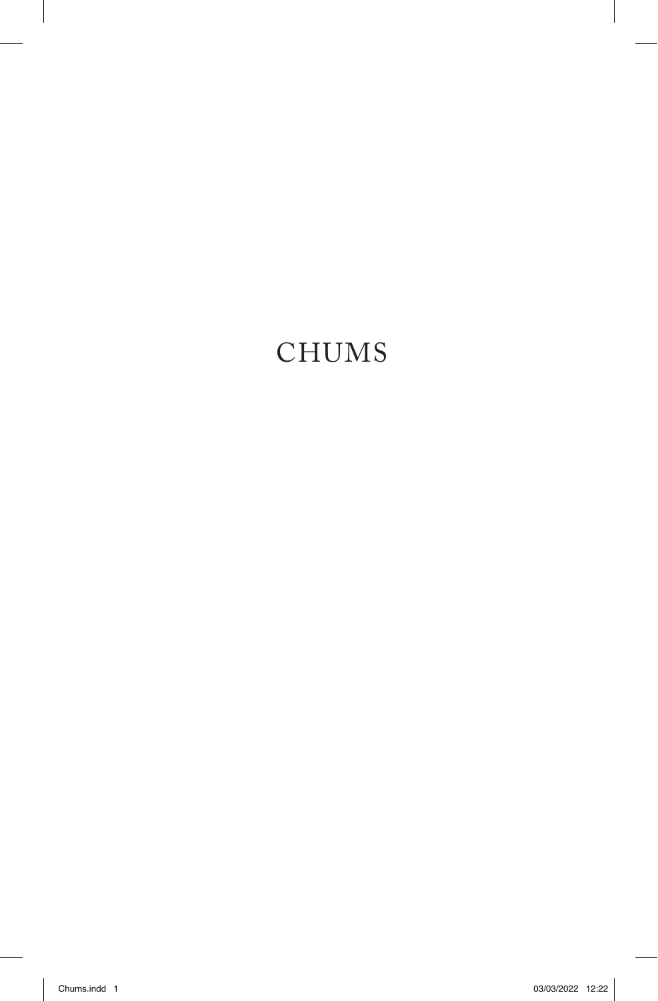# **CHUMS**

 $\mathbf{I}$ 

 $\mathbf{I}$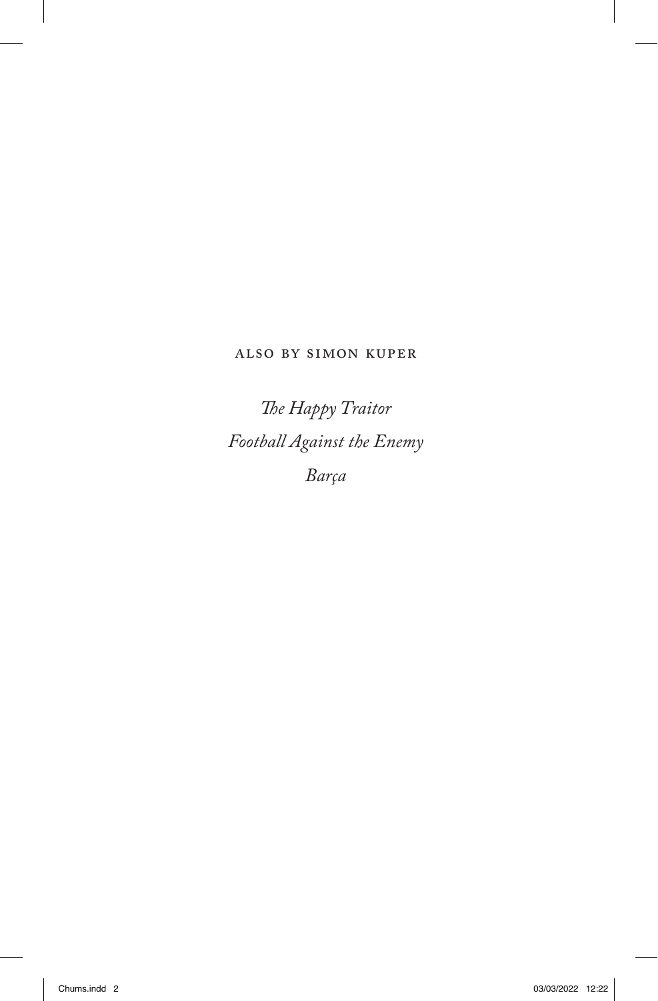#### also by simon kuper

 $\mathbf{I}$ 

Ĭ.

÷,

 $\mathbf{I}$ 

*The Happy Traitor Football Against the Enemy Barça*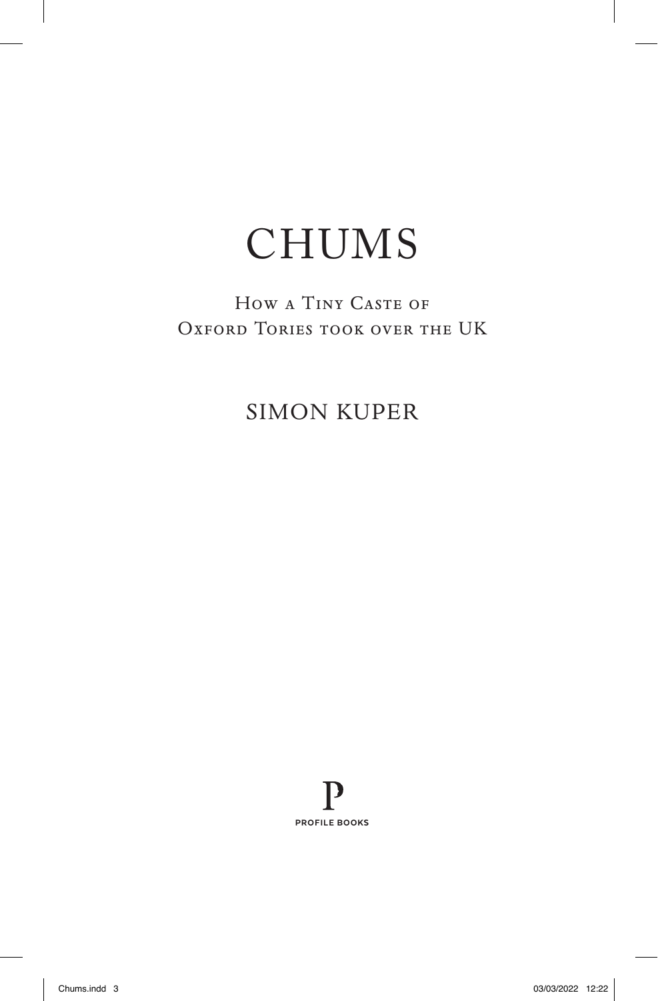# **CHUMS**

-1

 $\mathbf{I}$ 

How a Tiny Caste of OXFORD TORIES TOOK OVER THE UK

## simon kuper

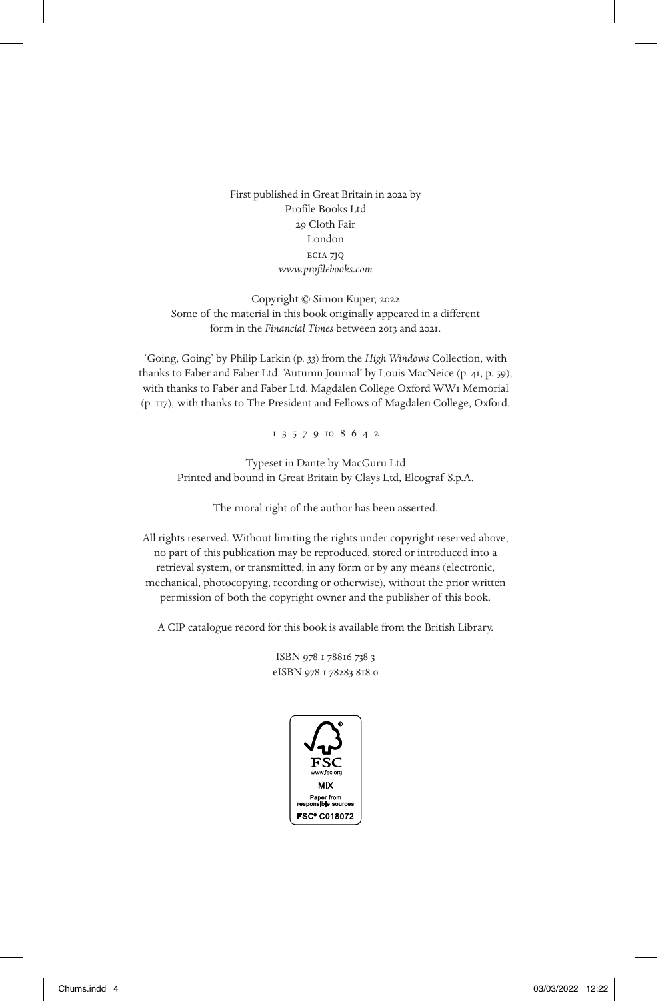First published in Great Britain in 2022 by Profile Books Ltd 29 Cloth Fair London ec1a 7jq *www.profilebooks.com*

Copyright © Simon Kuper, 2022 Some of the material in this book originally appeared in a different form in the *Financial Times* between 2013 and 2021.

'Going, Going' by Philip Larkin (p. 33) from the *High Windows* Collection, with thanks to Faber and Faber Ltd. 'Autumn Journal' by Louis MacNeice (p. 41, p. 59), with thanks to Faber and Faber Ltd. Magdalen College Oxford WW1 Memorial (p. 117), with thanks to The President and Fellows of Magdalen College, Oxford.

1 3 5 7 9 10 8 6 4 2

Typeset in Dante by MacGuru Ltd Printed and bound in Great Britain by Clays Ltd, Elcograf S.p.A.

The moral right of the author has been asserted.

All rights reserved. Without limiting the rights under copyright reserved above, no part of this publication may be reproduced, stored or introduced into a retrieval system, or transmitted, in any form or by any means (electronic, mechanical, photocopying, recording or otherwise), without the prior written permission of both the copyright owner and the publisher of this book.

A CIP catalogue record for this book is available from the British Library.

ISBN 978 1 78816 738 3 eISBN 978 1 78283 818 0

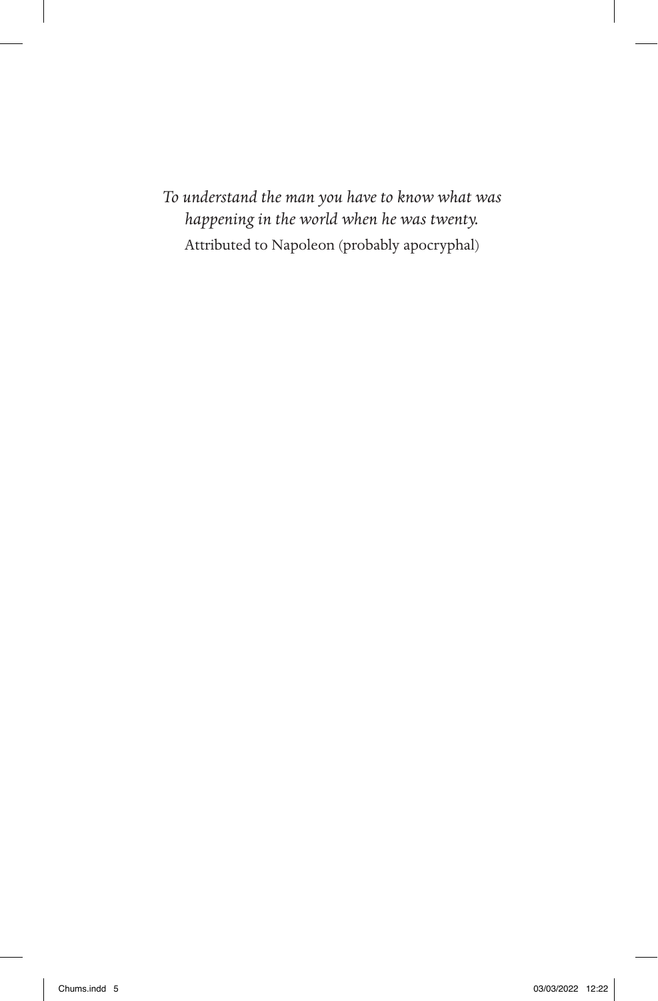*To understand the man you have to know what was happening in the world when he was twenty.* Attributed to Napoleon (probably apocryphal)

-1

-1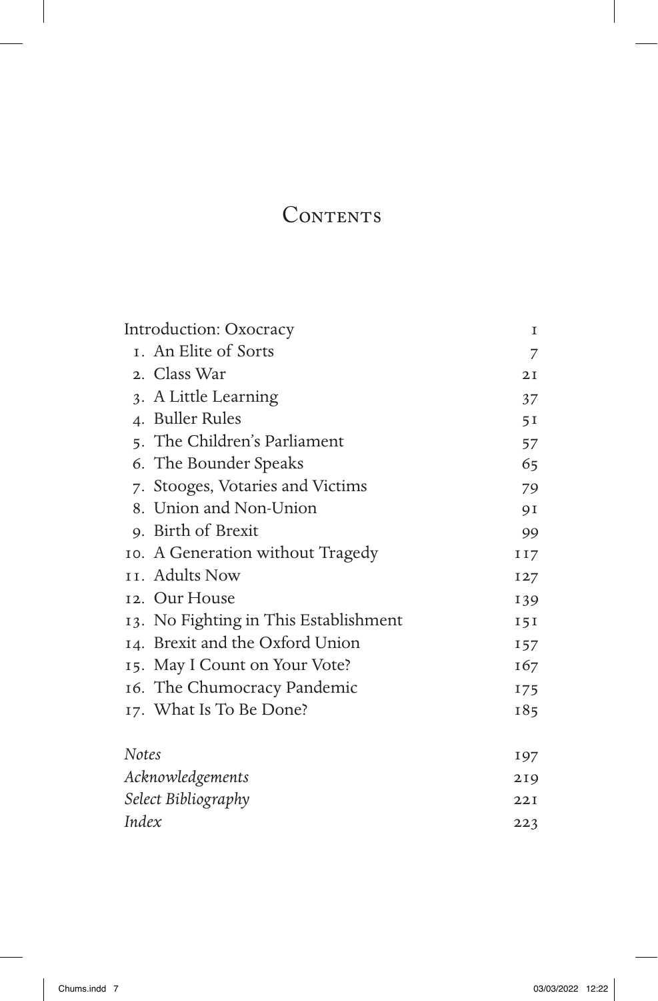## CONTENTS

 $\mathbf{I}$ 

 $\mathbf{I}$ 

| 1              |
|----------------|
| $\overline{7}$ |
| 2I             |
| 37             |
| 51             |
| 57             |
| 65             |
| 79             |
| 91             |
| 99             |
| II7            |
| I27            |
| 139            |
| I5I            |
| 157            |
| 167            |
| <b>175</b>     |
| 185            |
| 197            |
| 219            |
| 22I            |
| 223            |
|                |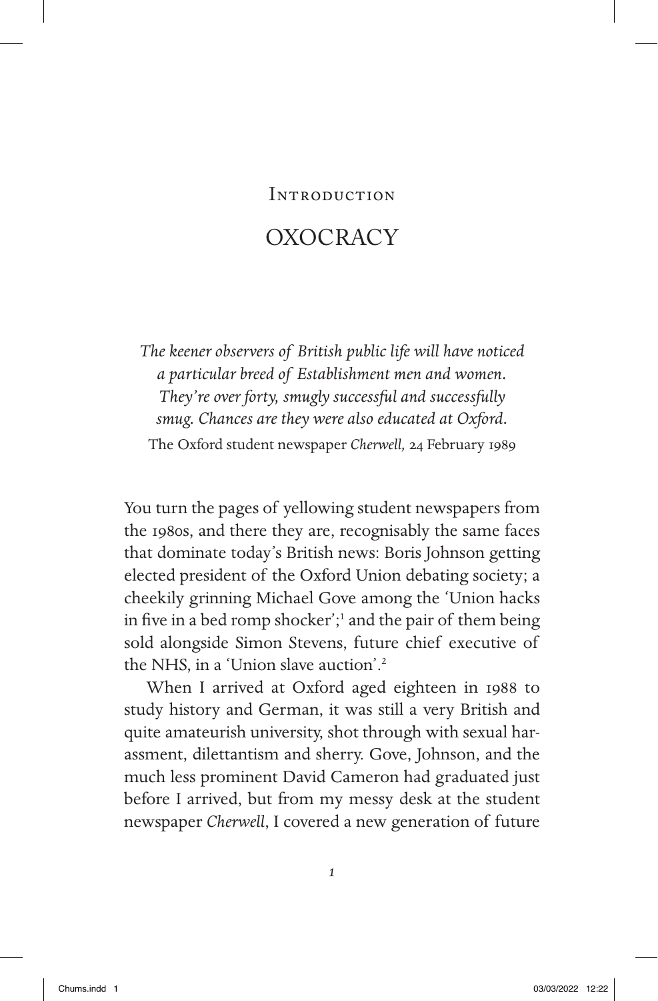#### INTRODUCTION

### **OXOCRACY**

*The keener observers of British public life will have noticed a particular breed of Establishment men and women. They're over forty, smugly successful and successfully smug. Chances are they were also educated at Oxford.* The Oxford student newspaper *Cherwell,* 24 February 1989

You turn the pages of yellowing student newspapers from the 1980s, and there they are, recognisably the same faces that dominate today's British news: Boris Johnson getting elected president of the Oxford Union debating society; a cheekily grinning Michael Gove among the 'Union hacks in five in a bed romp shocker';<sup>1</sup> and the pair of them being sold alongside Simon Stevens, future chief executive of the NHS, in a 'Union slave auction'.<sup>2</sup>

When I arrived at Oxford aged eighteen in 1988 to study history and German, it was still a very British and quite amateurish university, shot through with sexual harassment, dilettantism and sherry. Gove, Johnson, and the much less prominent David Cameron had graduated just before I arrived, but from my messy desk at the student newspaper *Cherwell*, I covered a new generation of future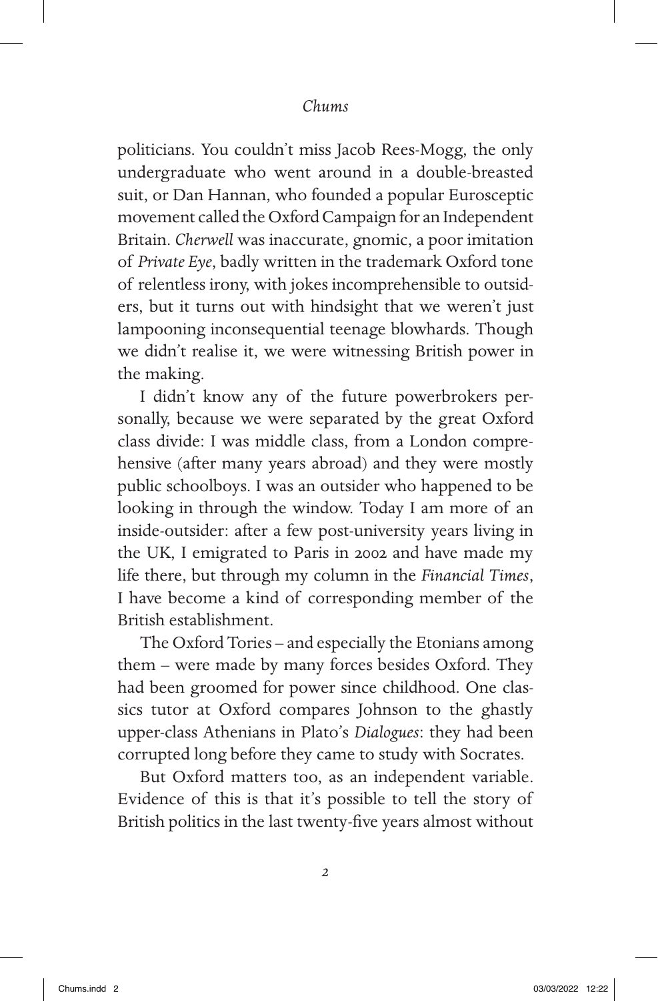politicians. You couldn't miss Jacob Rees-Mogg, the only undergraduate who went around in a double-breasted suit, or Dan Hannan, who founded a popular Eurosceptic movement called the Oxford Campaign for an Independent Britain. *Cherwell* was inaccurate, gnomic, a poor imitation of *Private Eye*, badly written in the trademark Oxford tone of relentless irony, with jokes incomprehensible to outsiders, but it turns out with hindsight that we weren't just lampooning inconsequential teenage blowhards. Though we didn't realise it, we were witnessing British power in the making.

I didn't know any of the future powerbrokers personally, because we were separated by the great Oxford class divide: I was middle class, from a London comprehensive (after many years abroad) and they were mostly public schoolboys. I was an outsider who happened to be looking in through the window. Today I am more of an inside-outsider: after a few post-university years living in the UK, I emigrated to Paris in 2002 and have made my life there, but through my column in the *Financial Times*, I have become a kind of corresponding member of the British establishment.

The Oxford Tories – and especially the Etonians among them – were made by many forces besides Oxford. They had been groomed for power since childhood. One classics tutor at Oxford compares Johnson to the ghastly upper-class Athenians in Plato's *Dialogues*: they had been corrupted long before they came to study with Socrates.

But Oxford matters too, as an independent variable. Evidence of this is that it's possible to tell the story of British politics in the last twenty-five years almost without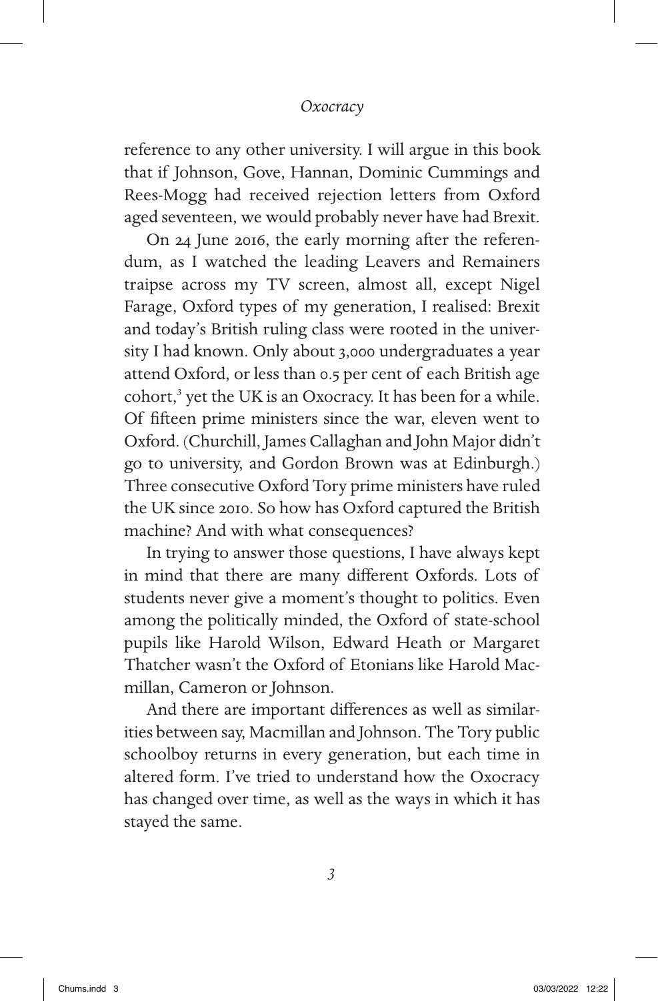#### *Oxocracy*

reference to any other university. I will argue in this book that if Johnson, Gove, Hannan, Dominic Cummings and Rees-Mogg had received rejection letters from Oxford aged seventeen, we would probably never have had Brexit.

On 24 June 2016, the early morning after the referendum, as I watched the leading Leavers and Remainers traipse across my TV screen, almost all, except Nigel Farage, Oxford types of my generation, I realised: Brexit and today's British ruling class were rooted in the university I had known. Only about 3,000 undergraduates a year attend Oxford, or less than 0.5 per cent of each British age cohort,<sup>3</sup> yet the UK is an Oxocracy. It has been for a while. Of fifteen prime ministers since the war, eleven went to Oxford. (Churchill, James Callaghan and John Major didn't go to university, and Gordon Brown was at Edinburgh.) Three consecutive Oxford Tory prime ministers have ruled the UK since 2010. So how has Oxford captured the British machine? And with what consequences?

In trying to answer those questions, I have always kept in mind that there are many different Oxfords. Lots of students never give a moment's thought to politics. Even among the politically minded, the Oxford of state-school pupils like Harold Wilson, Edward Heath or Margaret Thatcher wasn't the Oxford of Etonians like Harold Macmillan, Cameron or Johnson.

And there are important differences as well as similarities between say, Macmillan and Johnson. The Tory public schoolboy returns in every generation, but each time in altered form. I've tried to understand how the Oxocracy has changed over time, as well as the ways in which it has stayed the same.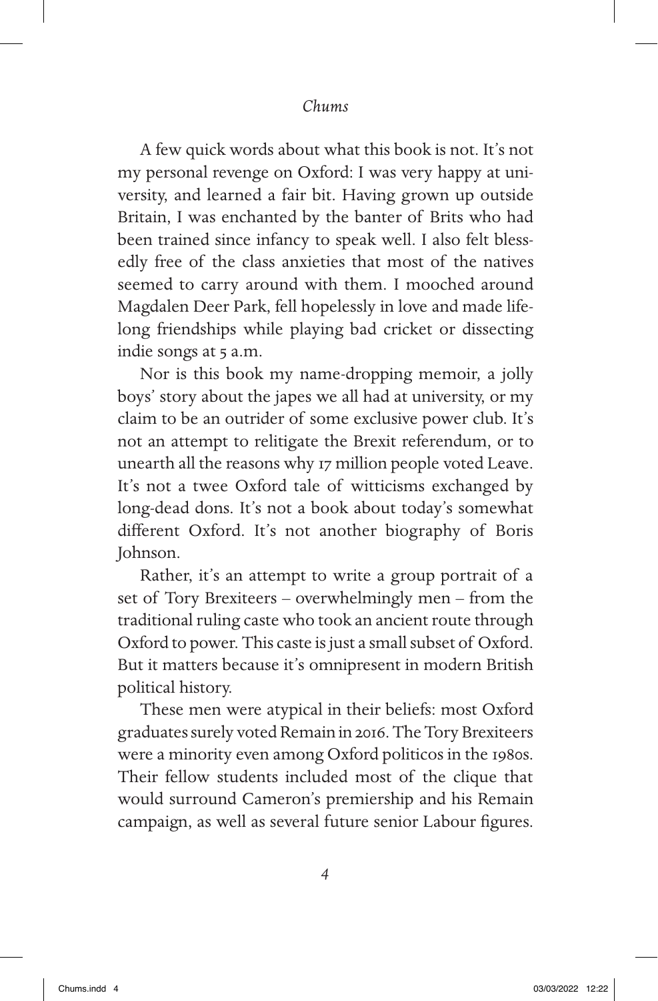A few quick words about what this book is not. It's not my personal revenge on Oxford: I was very happy at university, and learned a fair bit. Having grown up outside Britain, I was enchanted by the banter of Brits who had been trained since infancy to speak well. I also felt blessedly free of the class anxieties that most of the natives seemed to carry around with them. I mooched around Magdalen Deer Park, fell hopelessly in love and made lifelong friendships while playing bad cricket or dissecting indie songs at 5 a.m.

Nor is this book my name-dropping memoir, a jolly boys' story about the japes we all had at university, or my claim to be an outrider of some exclusive power club. It's not an attempt to relitigate the Brexit referendum, or to unearth all the reasons why 17 million people voted Leave. It's not a twee Oxford tale of witticisms exchanged by long-dead dons. It's not a book about today's somewhat different Oxford. It's not another biography of Boris Johnson.

Rather, it's an attempt to write a group portrait of a set of Tory Brexiteers – overwhelmingly men – from the traditional ruling caste who took an ancient route through Oxford to power. This caste is just a small subset of Oxford. But it matters because it's omnipresent in modern British political history.

These men were atypical in their beliefs: most Oxford graduates surely voted Remain in 2016. The Tory Brexiteers were a minority even among Oxford politicos in the 1980s. Their fellow students included most of the clique that would surround Cameron's premiership and his Remain campaign, as well as several future senior Labour figures.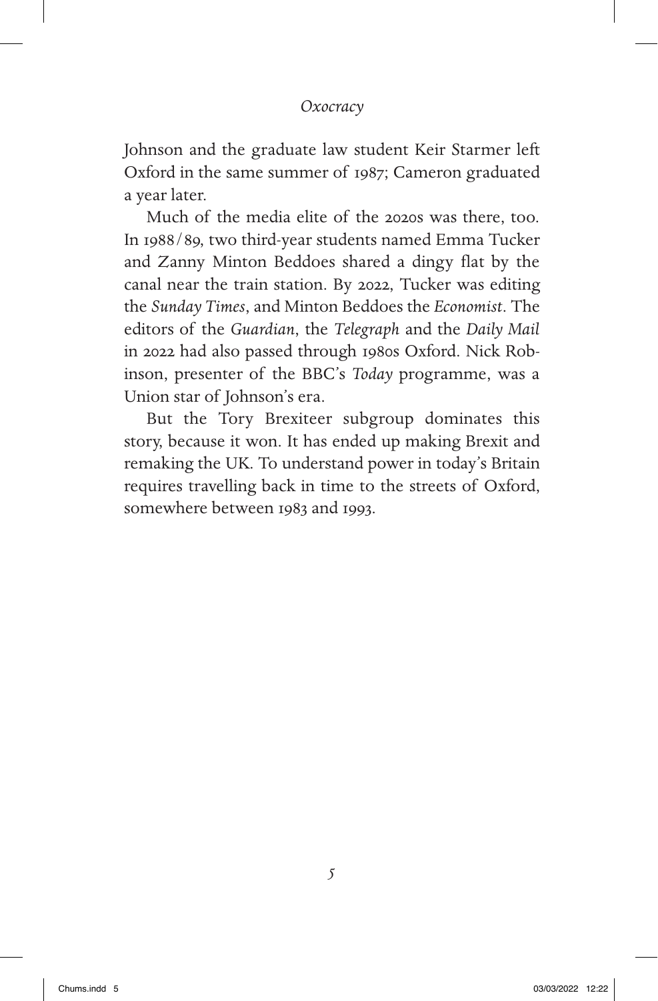#### *Oxocracy*

Johnson and the graduate law student Keir Starmer left Oxford in the same summer of 1987; Cameron graduated a year later.

Much of the media elite of the 2020s was there, too. In 1988/89, two third-year students named Emma Tucker and Zanny Minton Beddoes shared a dingy flat by the canal near the train station. By 2022, Tucker was editing the *Sunday Times*, and Minton Beddoes the *Economist*. The editors of the *Guardian*, the *Telegraph* and the *Daily Mail* in 2022 had also passed through 1980s Oxford. Nick Robinson, presenter of the BBC's *Today* programme, was a Union star of Johnson's era.

But the Tory Brexiteer subgroup dominates this story, because it won. It has ended up making Brexit and remaking the UK. To understand power in today's Britain requires travelling back in time to the streets of Oxford, somewhere between 1983 and 1993.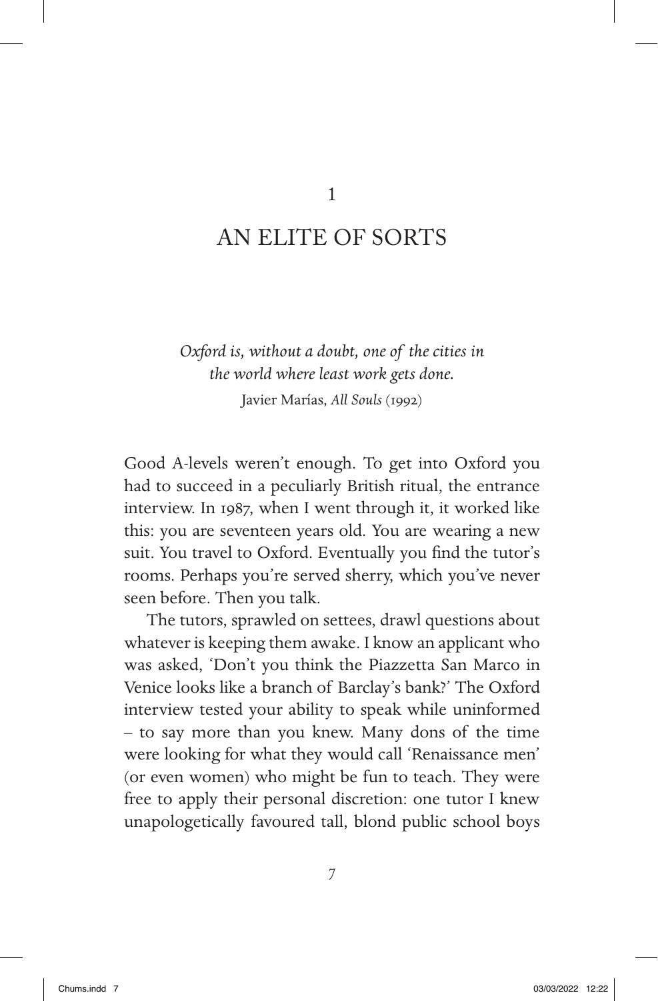1

## An Elite of Sorts

*Oxford is, without a doubt, one of the cities in the world where least work gets done.* Javier Marías, *All Souls* (1992)

Good A-levels weren't enough. To get into Oxford you had to succeed in a peculiarly British ritual, the entrance interview. In 1987, when I went through it, it worked like this: you are seventeen years old. You are wearing a new suit. You travel to Oxford. Eventually you find the tutor's rooms. Perhaps you're served sherry, which you've never seen before. Then you talk.

The tutors, sprawled on settees, drawl questions about whatever is keeping them awake. I know an applicant who was asked, 'Don't you think the Piazzetta San Marco in Venice looks like a branch of Barclay's bank?' The Oxford interview tested your ability to speak while uninformed – to say more than you knew. Many dons of the time were looking for what they would call 'Renaissance men' (or even women) who might be fun to teach. They were free to apply their personal discretion: one tutor I knew unapologetically favoured tall, blond public school boys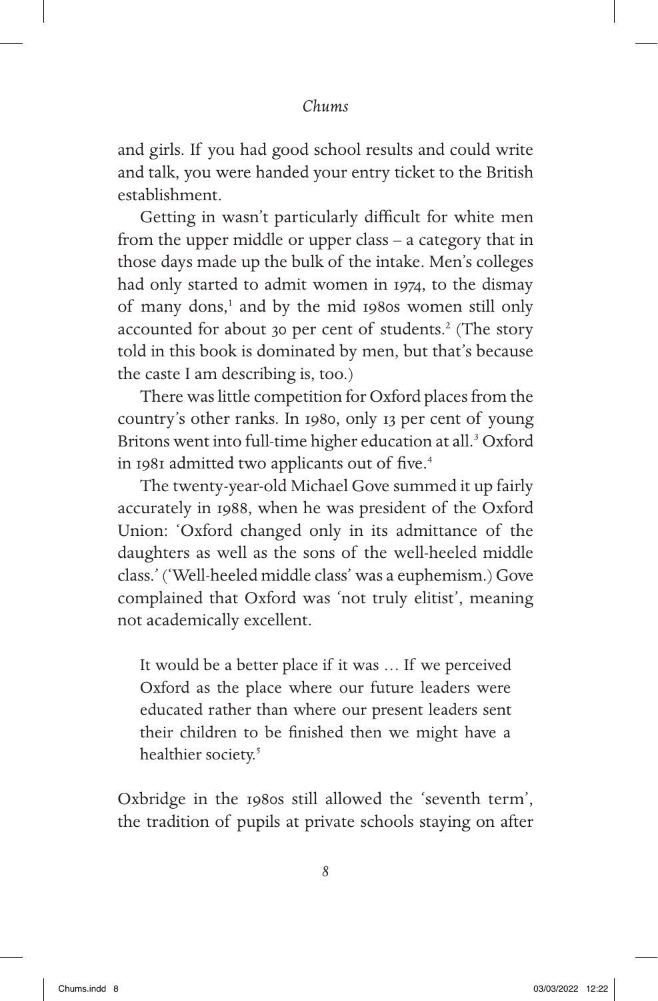and girls. If you had good school results and could write and talk, you were handed your entry ticket to the British establishment.

Getting in wasn't particularly difficult for white men from the upper middle or upper class – a category that in those days made up the bulk of the intake. Men's colleges had only started to admit women in 1974, to the dismay of many dons,<sup>1</sup> and by the mid 1980s women still only accounted for about 30 per cent of students.<sup>2</sup> (The story told in this book is dominated by men, but that's because the caste I am describing is, too.)

There was little competition for Oxford places from the country's other ranks. In 1980, only 13 per cent of young Britons went into full-time higher education at all.<sup>3</sup> Oxford in 1981 admitted two applicants out of five.<sup>4</sup>

The twenty-year-old Michael Gove summed it up fairly accurately in 1988, when he was president of the Oxford Union: 'Oxford changed only in its admittance of the daughters as well as the sons of the well-heeled middle class.' ('Well-heeled middle class' was a euphemism.) Gove complained that Oxford was 'not truly elitist', meaning not academically excellent.

It would be a better place if it was … If we perceived Oxford as the place where our future leaders were educated rather than where our present leaders sent their children to be finished then we might have a healthier society.<sup>5</sup>

Oxbridge in the 1980s still allowed the 'seventh term', the tradition of pupils at private schools staying on after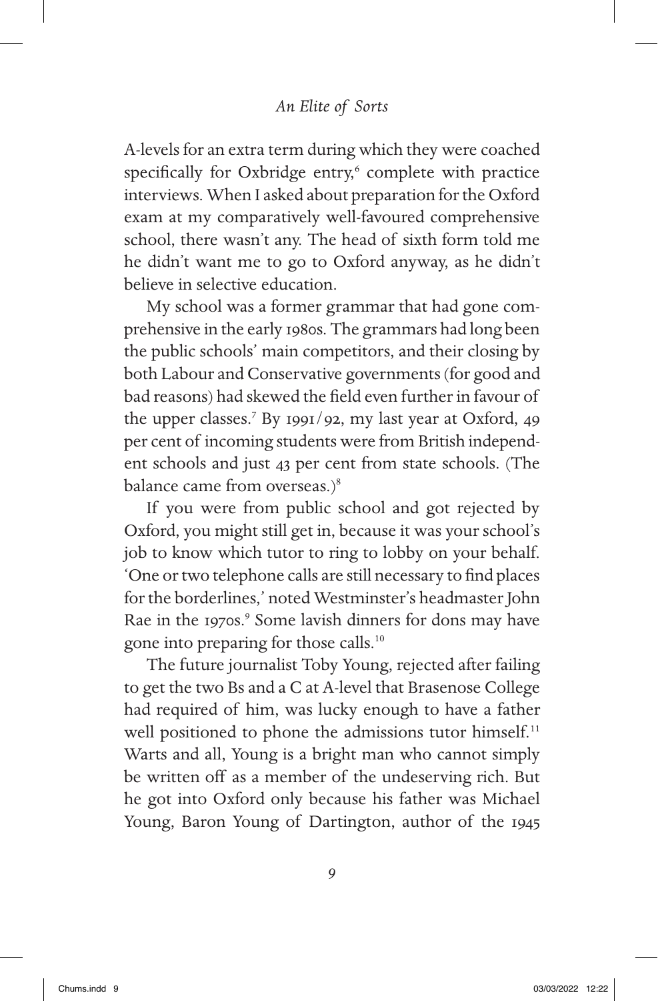A-levels for an extra term during which they were coached specifically for Oxbridge entry,<sup>6</sup> complete with practice interviews. When I asked about preparation for the Oxford exam at my comparatively well-favoured comprehensive school, there wasn't any. The head of sixth form told me he didn't want me to go to Oxford anyway, as he didn't believe in selective education.

My school was a former grammar that had gone comprehensive in the early 1980s. The grammars had long been the public schools' main competitors, and their closing by both Labour and Conservative governments (for good and bad reasons) had skewed the field even further in favour of the upper classes.7 By 1991/92, my last year at Oxford, 49 per cent of incoming students were from British independent schools and just 43 per cent from state schools. (The balance came from overseas.)<sup>8</sup>

If you were from public school and got rejected by Oxford, you might still get in, because it was your school's job to know which tutor to ring to lobby on your behalf. 'One or two telephone calls are still necessary to find places for the borderlines,' noted Westminster's headmaster John Rae in the 1970s.<sup>9</sup> Some lavish dinners for dons may have gone into preparing for those calls.10

The future journalist Toby Young, rejected after failing to get the two Bs and a C at A-level that Brasenose College had required of him, was lucky enough to have a father well positioned to phone the admissions tutor himself.<sup>11</sup> Warts and all, Young is a bright man who cannot simply be written off as a member of the undeserving rich. But he got into Oxford only because his father was Michael Young, Baron Young of Dartington, author of the 1945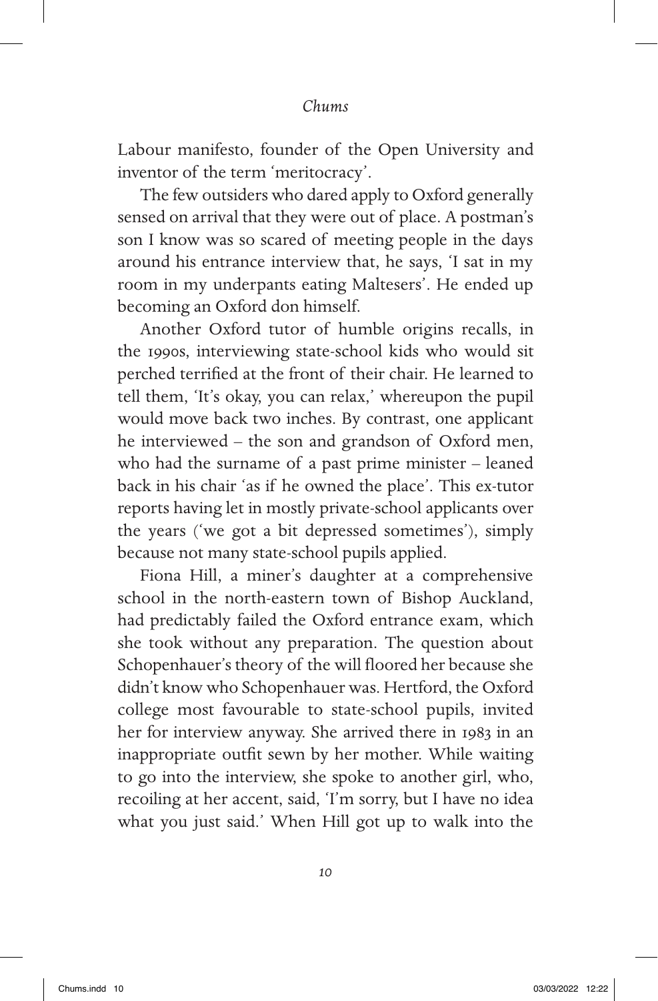Labour manifesto, founder of the Open University and inventor of the term 'meritocracy'.

The few outsiders who dared apply to Oxford generally sensed on arrival that they were out of place. A postman's son I know was so scared of meeting people in the days around his entrance interview that, he says, 'I sat in my room in my underpants eating Maltesers'. He ended up becoming an Oxford don himself.

Another Oxford tutor of humble origins recalls, in the 1990s, interviewing state-school kids who would sit perched terrified at the front of their chair. He learned to tell them, 'It's okay, you can relax,' whereupon the pupil would move back two inches. By contrast, one applicant he interviewed – the son and grandson of Oxford men, who had the surname of a past prime minister – leaned back in his chair 'as if he owned the place'. This ex-tutor reports having let in mostly private-school applicants over the years ('we got a bit depressed sometimes'), simply because not many state-school pupils applied.

Fiona Hill, a miner's daughter at a comprehensive school in the north-eastern town of Bishop Auckland, had predictably failed the Oxford entrance exam, which she took without any preparation. The question about Schopenhauer's theory of the will floored her because she didn't know who Schopenhauer was. Hertford, the Oxford college most favourable to state-school pupils, invited her for interview anyway. She arrived there in 1983 in an inappropriate outfit sewn by her mother. While waiting to go into the interview, she spoke to another girl, who, recoiling at her accent, said, 'I'm sorry, but I have no idea what you just said.' When Hill got up to walk into the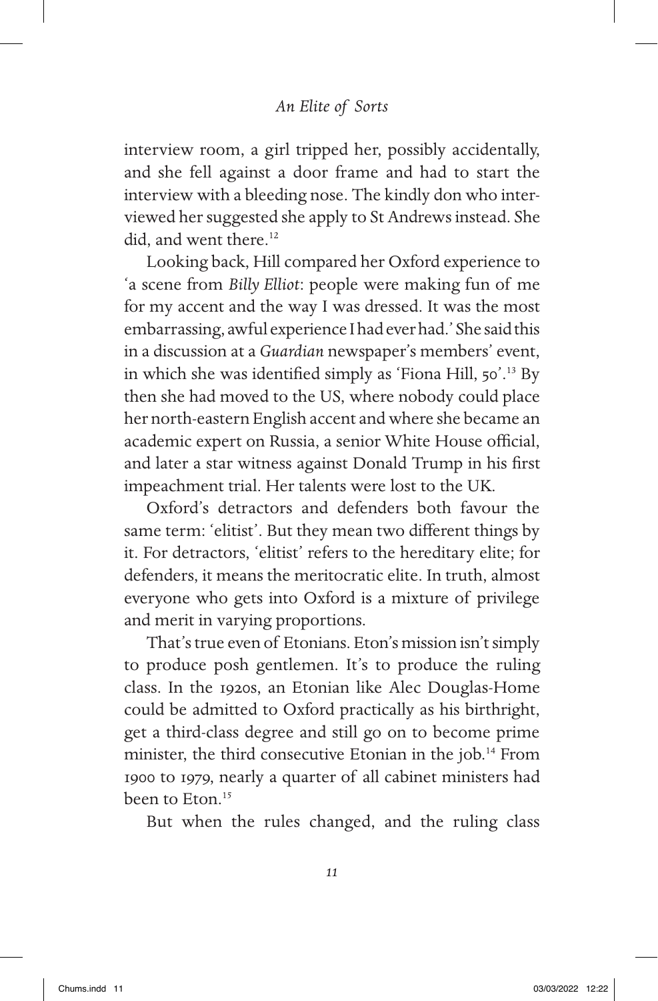interview room, a girl tripped her, possibly accidentally, and she fell against a door frame and had to start the interview with a bleeding nose. The kindly don who interviewed her suggested she apply to St Andrews instead. She did, and went there.<sup>12</sup>

Looking back, Hill compared her Oxford experience to 'a scene from *Billy Elliot*: people were making fun of me for my accent and the way I was dressed. It was the most embarrassing, awful experience I had ever had.' She said this in a discussion at a *Guardian* newspaper's members' event, in which she was identified simply as 'Fiona Hill, 50'.13 By then she had moved to the US, where nobody could place her north-eastern English accent and where she became an academic expert on Russia, a senior White House official, and later a star witness against Donald Trump in his first impeachment trial. Her talents were lost to the UK.

Oxford's detractors and defenders both favour the same term: 'elitist'. But they mean two different things by it. For detractors, 'elitist' refers to the hereditary elite; for defenders, it means the meritocratic elite. In truth, almost everyone who gets into Oxford is a mixture of privilege and merit in varying proportions.

That's true even of Etonians. Eton's mission isn't simply to produce posh gentlemen. It's to produce the ruling class. In the 1920s, an Etonian like Alec Douglas-Home could be admitted to Oxford practically as his birthright, get a third-class degree and still go on to become prime minister, the third consecutive Etonian in the job.14 From 1900 to 1979, nearly a quarter of all cabinet ministers had been to Eton.<sup>15</sup>

But when the rules changed, and the ruling class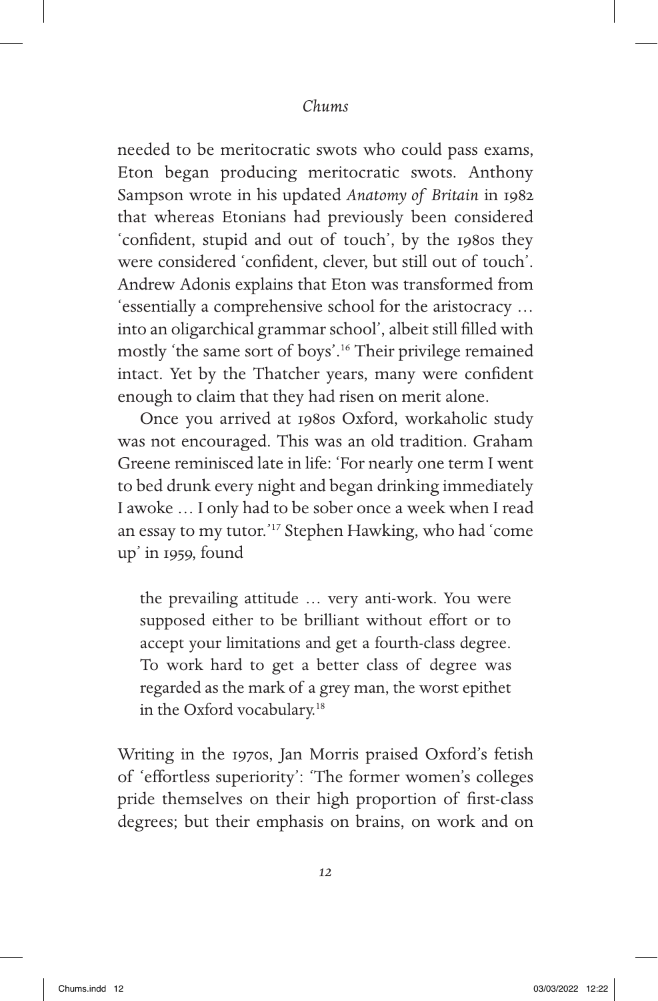needed to be meritocratic swots who could pass exams, Eton began producing meritocratic swots. Anthony Sampson wrote in his updated *Anatomy of Britain* in 1982 that whereas Etonians had previously been considered 'confident, stupid and out of touch', by the 1980s they were considered 'confident, clever, but still out of touch'. Andrew Adonis explains that Eton was transformed from 'essentially a comprehensive school for the aristocracy … into an oligarchical grammar school', albeit still filled with mostly 'the same sort of boys'.16 Their privilege remained intact. Yet by the Thatcher years, many were confident enough to claim that they had risen on merit alone.

Once you arrived at 1980s Oxford, workaholic study was not encouraged. This was an old tradition. Graham Greene reminisced late in life: 'For nearly one term I went to bed drunk every night and began drinking immediately I awoke … I only had to be sober once a week when I read an essay to my tutor.'17 Stephen Hawking, who had 'come up' in 1959, found

the prevailing attitude … very anti-work. You were supposed either to be brilliant without effort or to accept your limitations and get a fourth-class degree. To work hard to get a better class of degree was regarded as the mark of a grey man, the worst epithet in the Oxford vocabulary.<sup>18</sup>

Writing in the 1970s, Jan Morris praised Oxford's fetish of 'effortless superiority': 'The former women's colleges pride themselves on their high proportion of first-class degrees; but their emphasis on brains, on work and on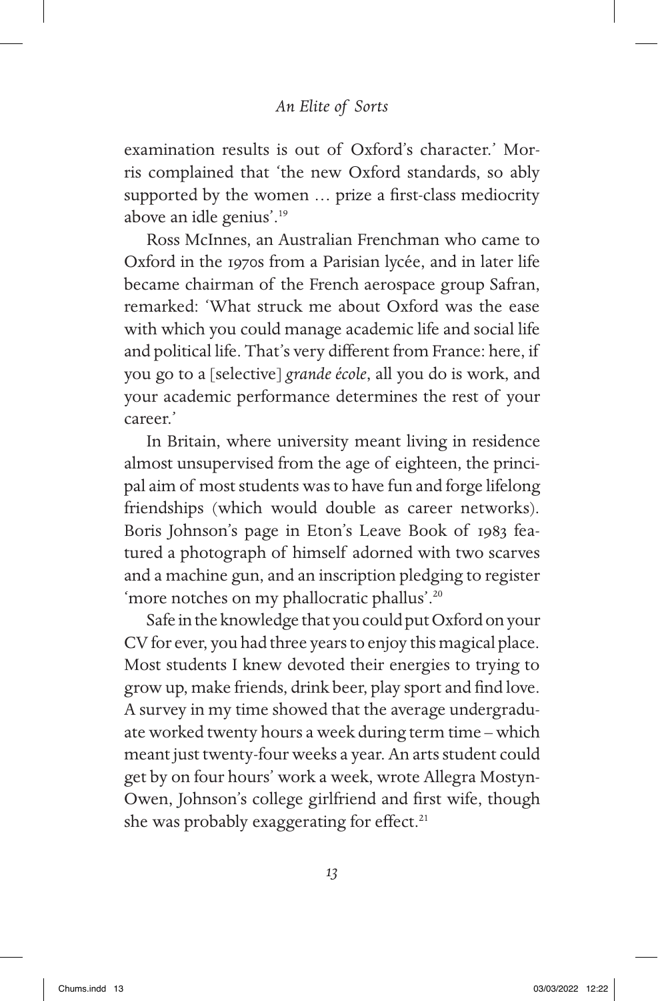examination results is out of Oxford's character.' Morris complained that 'the new Oxford standards, so ably supported by the women … prize a first-class mediocrity above an idle genius'.19

Ross McInnes, an Australian Frenchman who came to Oxford in the 1970s from a Parisian lycée, and in later life became chairman of the French aerospace group Safran, remarked: 'What struck me about Oxford was the ease with which you could manage academic life and social life and political life. That's very different from France: here, if you go to a [selective] *grande école*, all you do is work, and your academic performance determines the rest of your career.'

In Britain, where university meant living in residence almost unsupervised from the age of eighteen, the principal aim of most students was to have fun and forge lifelong friendships (which would double as career networks). Boris Johnson's page in Eton's Leave Book of 1983 featured a photograph of himself adorned with two scarves and a machine gun, and an inscription pledging to register 'more notches on my phallocratic phallus'.<sup>20</sup>

Safe in the knowledge that you could put Oxford on your CV for ever, you had three years to enjoy this magical place. Most students I knew devoted their energies to trying to grow up, make friends, drink beer, play sport and find love. A survey in my time showed that the average undergraduate worked twenty hours a week during term time – which meant just twenty-four weeks a year. An arts student could get by on four hours' work a week, wrote Allegra Mostyn-Owen, Johnson's college girlfriend and first wife, though she was probably exaggerating for effect.<sup>21</sup>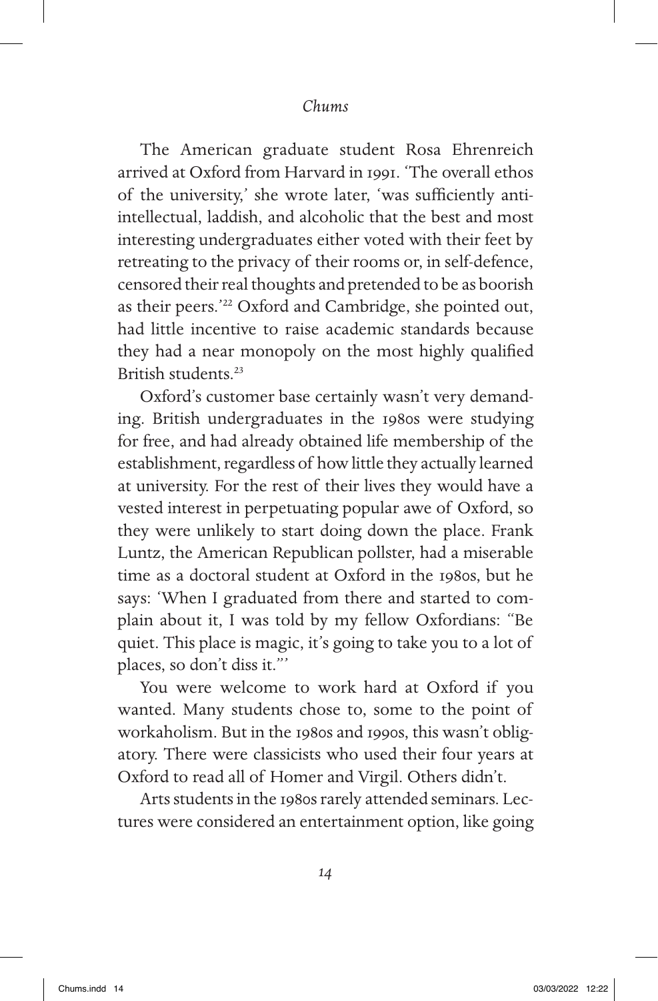The American graduate student Rosa Ehrenreich arrived at Oxford from Harvard in 1991. 'The overall ethos of the university,' she wrote later, 'was sufficiently antiintellectual, laddish, and alcoholic that the best and most interesting undergraduates either voted with their feet by retreating to the privacy of their rooms or, in self-defence, censored their real thoughts and pretended to be as boorish as their peers.'22 Oxford and Cambridge, she pointed out, had little incentive to raise academic standards because they had a near monopoly on the most highly qualified British students.<sup>23</sup>

Oxford's customer base certainly wasn't very demanding. British undergraduates in the 1980s were studying for free, and had already obtained life membership of the establishment, regardless of how little they actually learned at university. For the rest of their lives they would have a vested interest in perpetuating popular awe of Oxford, so they were unlikely to start doing down the place. Frank Luntz, the American Republican pollster, had a miserable time as a doctoral student at Oxford in the 1980s, but he says: 'When I graduated from there and started to complain about it, I was told by my fellow Oxfordians: "Be quiet. This place is magic, it's going to take you to a lot of places, so don't diss it."'

You were welcome to work hard at Oxford if you wanted. Many students chose to, some to the point of workaholism. But in the 1980s and 1990s, this wasn't obligatory. There were classicists who used their four years at Oxford to read all of Homer and Virgil. Others didn't.

Arts students in the 1980s rarely attended seminars. Lectures were considered an entertainment option, like going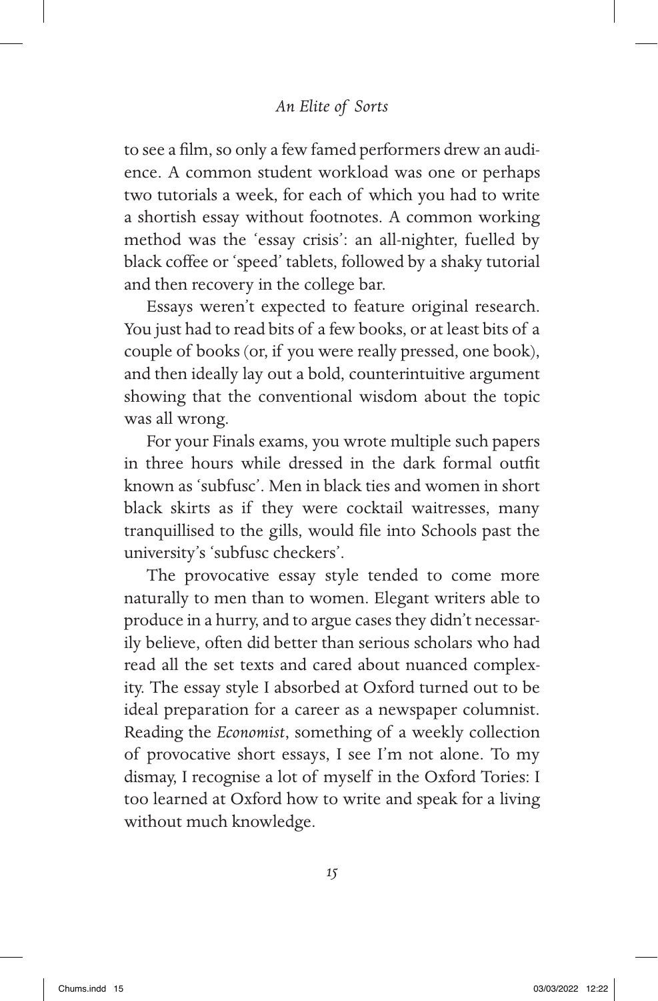to see a film, so only a few famed performers drew an audience. A common student workload was one or perhaps two tutorials a week, for each of which you had to write a shortish essay without footnotes. A common working method was the 'essay crisis': an all-nighter, fuelled by black coffee or 'speed' tablets, followed by a shaky tutorial and then recovery in the college bar.

Essays weren't expected to feature original research. You just had to read bits of a few books, or at least bits of a couple of books (or, if you were really pressed, one book), and then ideally lay out a bold, counterintuitive argument showing that the conventional wisdom about the topic was all wrong.

For your Finals exams, you wrote multiple such papers in three hours while dressed in the dark formal outfit known as 'subfusc'. Men in black ties and women in short black skirts as if they were cocktail waitresses, many tranquillised to the gills, would file into Schools past the university's 'subfusc checkers'.

The provocative essay style tended to come more naturally to men than to women. Elegant writers able to produce in a hurry, and to argue cases they didn't necessarily believe, often did better than serious scholars who had read all the set texts and cared about nuanced complexity. The essay style I absorbed at Oxford turned out to be ideal preparation for a career as a newspaper columnist. Reading the *Economist*, something of a weekly collection of provocative short essays, I see I'm not alone. To my dismay, I recognise a lot of myself in the Oxford Tories: I too learned at Oxford how to write and speak for a living without much knowledge.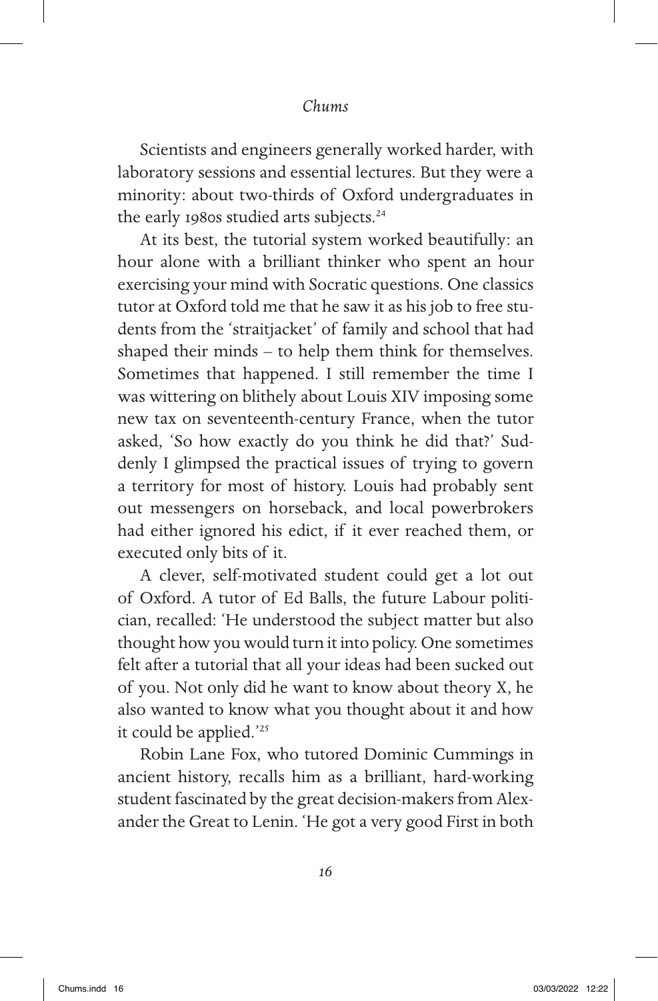Scientists and engineers generally worked harder, with laboratory sessions and essential lectures. But they were a minority: about two-thirds of Oxford undergraduates in the early 1980s studied arts subjects.<sup>24</sup>

At its best, the tutorial system worked beautifully: an hour alone with a brilliant thinker who spent an hour exercising your mind with Socratic questions. One classics tutor at Oxford told me that he saw it as his job to free students from the 'straitjacket' of family and school that had shaped their minds – to help them think for themselves. Sometimes that happened. I still remember the time I was wittering on blithely about Louis XIV imposing some new tax on seventeenth-century France, when the tutor asked, 'So how exactly do you think he did that?' Suddenly I glimpsed the practical issues of trying to govern a territory for most of history. Louis had probably sent out messengers on horseback, and local powerbrokers had either ignored his edict, if it ever reached them, or executed only bits of it.

A clever, self-motivated student could get a lot out of Oxford. A tutor of Ed Balls, the future Labour politician, recalled: 'He understood the subject matter but also thought how you would turn it into policy. One sometimes felt after a tutorial that all your ideas had been sucked out of you. Not only did he want to know about theory X, he also wanted to know what you thought about it and how it could be applied.'25

Robin Lane Fox, who tutored Dominic Cummings in ancient history, recalls him as a brilliant, hard-working student fascinated by the great decision-makers from Alexander the Great to Lenin. 'He got a very good First in both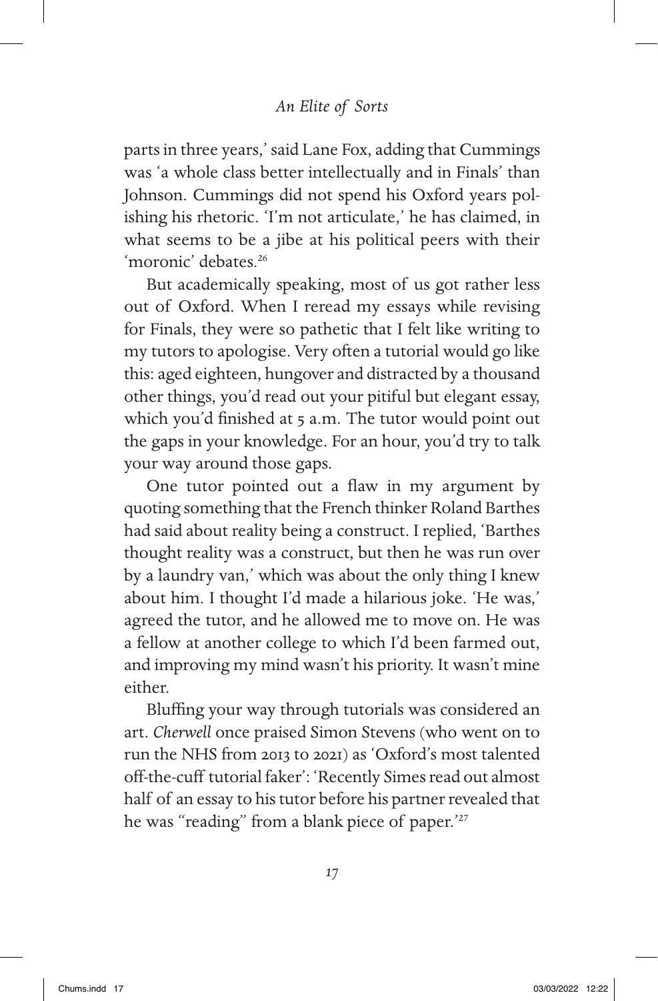parts in three years,' said Lane Fox, adding that Cummings was 'a whole class better intellectually and in Finals' than Johnson. Cummings did not spend his Oxford years polishing his rhetoric. 'I'm not articulate,' he has claimed, in what seems to be a jibe at his political peers with their 'moronic' debates.<sup>26</sup>

But academically speaking, most of us got rather less out of Oxford. When I reread my essays while revising for Finals, they were so pathetic that I felt like writing to my tutors to apologise. Very often a tutorial would go like this: aged eighteen, hungover and distracted by a thousand other things, you'd read out your pitiful but elegant essay, which you'd finished at 5 a.m. The tutor would point out the gaps in your knowledge. For an hour, you'd try to talk your way around those gaps.

One tutor pointed out a flaw in my argument by quoting something that the French thinker Roland Barthes had said about reality being a construct. I replied, 'Barthes thought reality was a construct, but then he was run over by a laundry van,' which was about the only thing I knew about him. I thought I'd made a hilarious joke. 'He was,' agreed the tutor, and he allowed me to move on. He was a fellow at another college to which I'd been farmed out, and improving my mind wasn't his priority. It wasn't mine either.

Bluffing your way through tutorials was considered an art. *Cherwell* once praised Simon Stevens (who went on to run the NHS from 2013 to 2021) as 'Oxford's most talented off-the-cuff tutorial faker': 'Recently Simes read out almost half of an essay to his tutor before his partner revealed that he was "reading" from a blank piece of paper.'<sup>27</sup>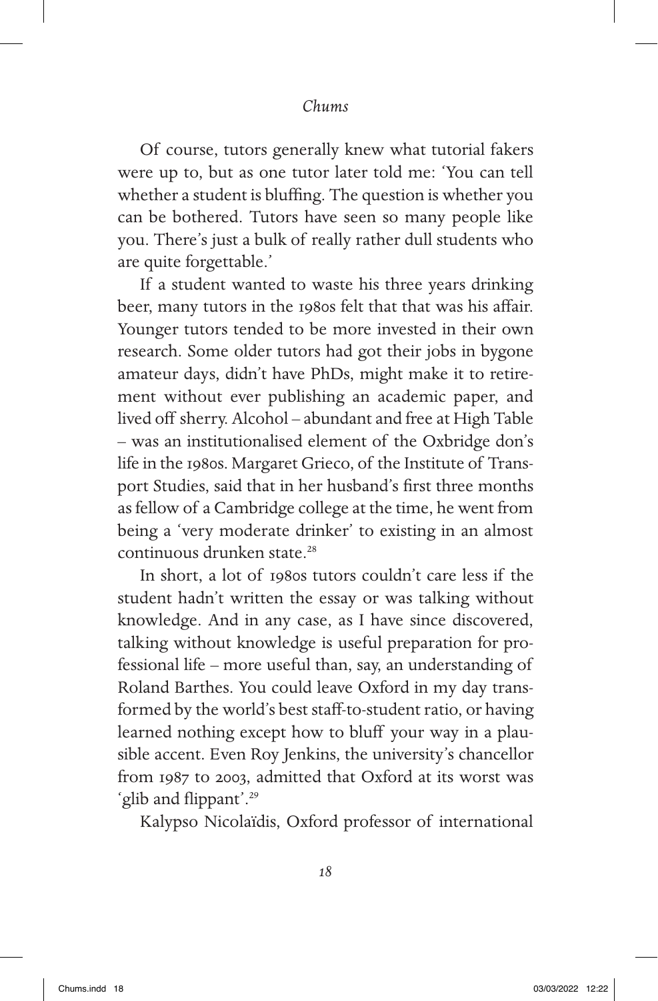Of course, tutors generally knew what tutorial fakers were up to, but as one tutor later told me: 'You can tell whether a student is bluffing. The question is whether you can be bothered. Tutors have seen so many people like you. There's just a bulk of really rather dull students who are quite forgettable.'

If a student wanted to waste his three years drinking beer, many tutors in the 1980s felt that that was his affair. Younger tutors tended to be more invested in their own research. Some older tutors had got their jobs in bygone amateur days, didn't have PhDs, might make it to retirement without ever publishing an academic paper, and lived off sherry. Alcohol – abundant and free at High Table – was an institutionalised element of the Oxbridge don's life in the 1980s. Margaret Grieco, of the Institute of Transport Studies, said that in her husband's first three months as fellow of a Cambridge college at the time, he went from being a 'very moderate drinker' to existing in an almost continuous drunken state.<sup>28</sup>

In short, a lot of 1980s tutors couldn't care less if the student hadn't written the essay or was talking without knowledge. And in any case, as I have since discovered, talking without knowledge is useful preparation for professional life – more useful than, say, an understanding of Roland Barthes. You could leave Oxford in my day transformed by the world's best staff-to-student ratio, or having learned nothing except how to bluff your way in a plausible accent. Even Roy Jenkins, the university's chancellor from 1987 to 2003, admitted that Oxford at its worst was 'glib and flippant'.<sup>29</sup>

Kalypso Nicolaïdis, Oxford professor of international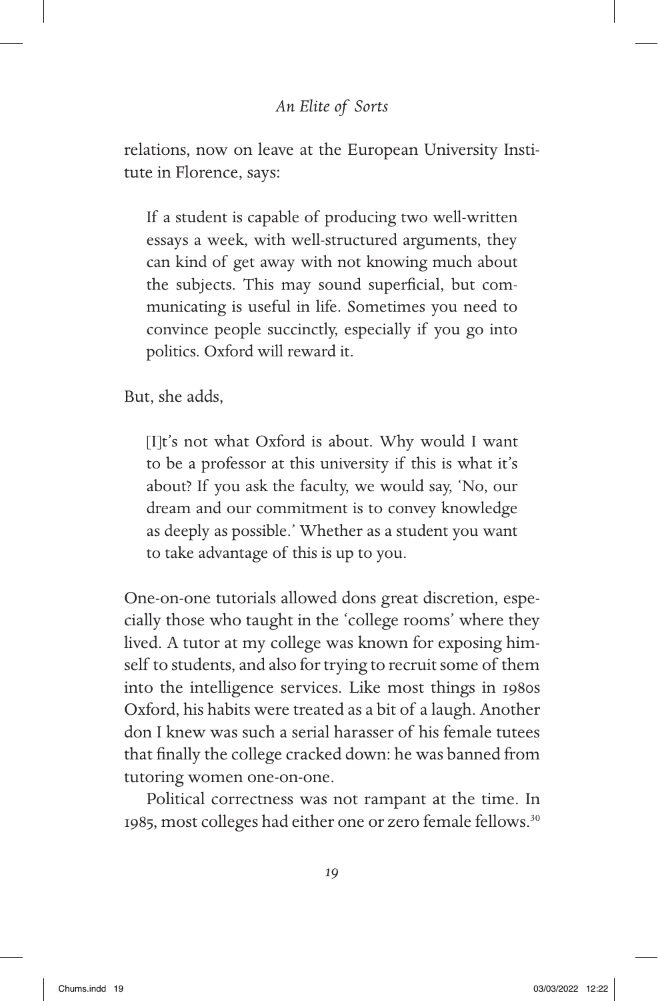relations, now on leave at the European University Institute in Florence, says:

If a student is capable of producing two well-written essays a week, with well-structured arguments, they can kind of get away with not knowing much about the subjects. This may sound superficial, but communicating is useful in life. Sometimes you need to convince people succinctly, especially if you go into politics. Oxford will reward it.

But, she adds,

[I]t's not what Oxford is about. Why would I want to be a professor at this university if this is what it's about? If you ask the faculty, we would say, 'No, our dream and our commitment is to convey knowledge as deeply as possible.' Whether as a student you want to take advantage of this is up to you.

One-on-one tutorials allowed dons great discretion, especially those who taught in the 'college rooms' where they lived. A tutor at my college was known for exposing himself to students, and also for trying to recruit some of them into the intelligence services. Like most things in 1980s Oxford, his habits were treated as a bit of a laugh. Another don I knew was such a serial harasser of his female tutees that finally the college cracked down: he was banned from tutoring women one-on-one.

Political correctness was not rampant at the time. In 1985, most colleges had either one or zero female fellows.<sup>30</sup>